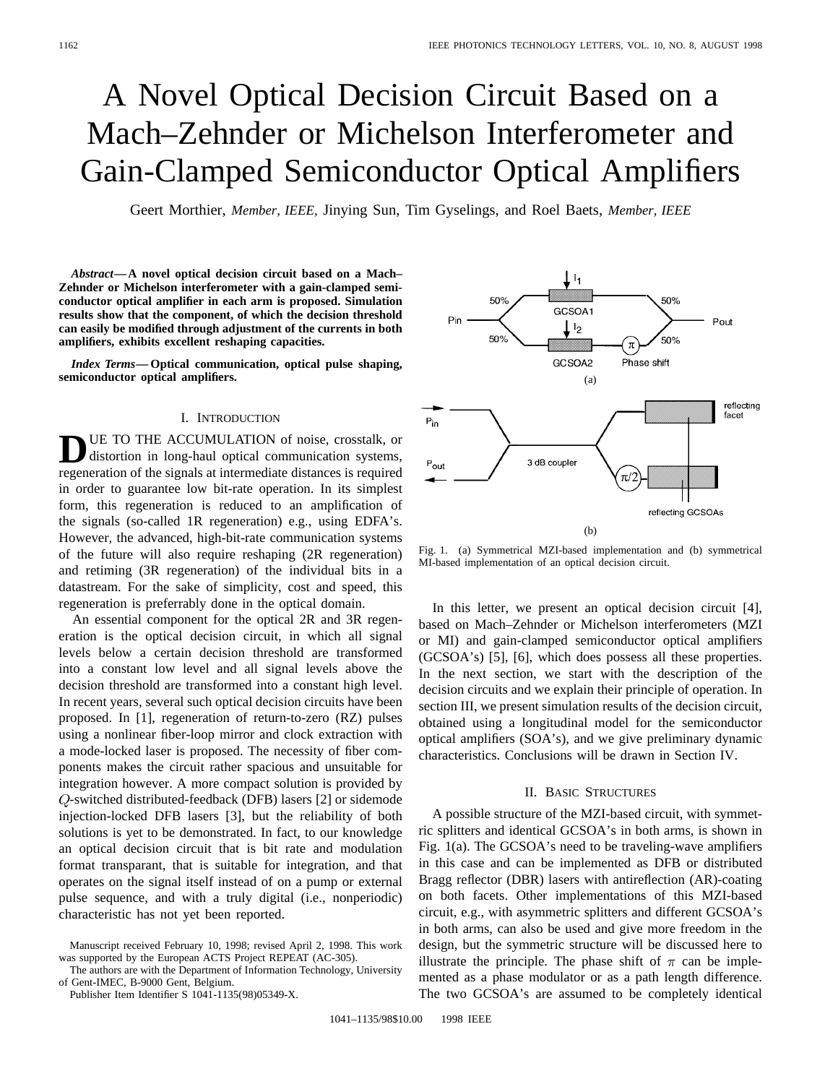# A Novel Optical Decision Circuit Based on a Mach–Zehnder or Michelson Interferometer and Gain-Clamped Semiconductor Optical Amplifiers

Geert Morthier, *Member, IEEE,* Jinying Sun, Tim Gyselings, and Roel Baets, *Member, IEEE*

*Abstract—***A novel optical decision circuit based on a Mach– Zehnder or Michelson interferometer with a gain-clamped semiconductor optical amplifier in each arm is proposed. Simulation results show that the component, of which the decision threshold can easily be modified through adjustment of the currents in both amplifiers, exhibits excellent reshaping capacities.**

*Index Terms—***Optical communication, optical pulse shaping, semiconductor optical amplifiers.**

#### I. INTRODUCTION

**D**UE TO THE ACCUMULATION of noise, crosstalk, or distortion in long-haul optical communication systems, regeneration of the signals at intermediate distances is required in order to guarantee low bit-rate operation. In its simplest form, this regeneration is reduced to an amplification of the signals (so-called 1R regeneration) e.g., using EDFA's. However, the advanced, high-bit-rate communication systems of the future will also require reshaping (2R regeneration) and retiming (3R regeneration) of the individual bits in a datastream. For the sake of simplicity, cost and speed, this regeneration is preferrably done in the optical domain.

An essential component for the optical 2R and 3R regeneration is the optical decision circuit, in which all signal levels below a certain decision threshold are transformed into a constant low level and all signal levels above the decision threshold are transformed into a constant high level. In recent years, several such optical decision circuits have been proposed. In [1], regeneration of return-to-zero (RZ) pulses using a nonlinear fiber-loop mirror and clock extraction with a mode-locked laser is proposed. The necessity of fiber components makes the circuit rather spacious and unsuitable for integration however. A more compact solution is provided by  $Q$ -switched distributed-feedback (DFB) lasers [2] or sidemode injection-locked DFB lasers [3], but the reliability of both solutions is yet to be demonstrated. In fact, to our knowledge an optical decision circuit that is bit rate and modulation format transparant, that is suitable for integration, and that operates on the signal itself instead of on a pump or external pulse sequence, and with a truly digital (i.e., nonperiodic) characteristic has not yet been reported.

The authors are with the Department of Information Technology, University of Gent-IMEC, B-9000 Gent, Belgium.

Publisher Item Identifier S 1041-1135(98)05349-X.



Fig. 1. (a) Symmetrical MZI-based implementation and (b) symmetrical MI-based implementation of an optical decision circuit.

In this letter, we present an optical decision circuit [4], based on Mach–Zehnder or Michelson interferometers (MZI or MI) and gain-clamped semiconductor optical amplifiers (GCSOA's) [5], [6], which does possess all these properties. In the next section, we start with the description of the decision circuits and we explain their principle of operation. In section III, we present simulation results of the decision circuit, obtained using a longitudinal model for the semiconductor optical amplifiers (SOA's), and we give preliminary dynamic characteristics. Conclusions will be drawn in Section IV.

## II. BASIC STRUCTURES

A possible structure of the MZI-based circuit, with symmetric splitters and identical GCSOA's in both arms, is shown in Fig. 1(a). The GCSOA's need to be traveling-wave amplifiers in this case and can be implemented as DFB or distributed Bragg reflector (DBR) lasers with antireflection (AR)-coating on both facets. Other implementations of this MZI-based circuit, e.g., with asymmetric splitters and different GCSOA's in both arms, can also be used and give more freedom in the design, but the symmetric structure will be discussed here to illustrate the principle. The phase shift of  $\pi$  can be implemented as a phase modulator or as a path length difference. The two GCSOA's are assumed to be completely identical

Manuscript received February 10, 1998; revised April 2, 1998. This work was supported by the European ACTS Project REPEAT (AC-305).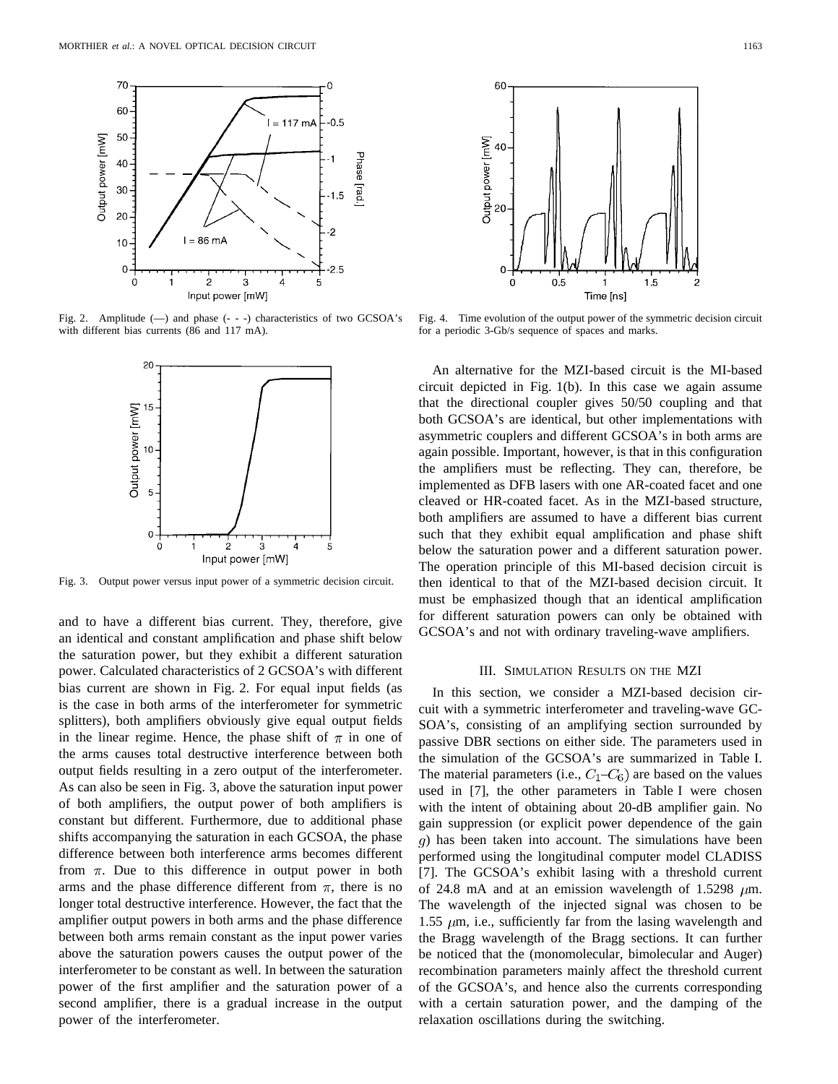

Fig. 2. Amplitude  $(-)$  and phase  $(- - )$  characteristics of two GCSOA's with different bias currents (86 and 117 mA).



Fig. 3. Output power versus input power of a symmetric decision circuit.

and to have a different bias current. They, therefore, give an identical and constant amplification and phase shift below the saturation power, but they exhibit a different saturation power. Calculated characteristics of 2 GCSOA's with different bias current are shown in Fig. 2. For equal input fields (as is the case in both arms of the interferometer for symmetric splitters), both amplifiers obviously give equal output fields in the linear regime. Hence, the phase shift of  $\pi$  in one of the arms causes total destructive interference between both output fields resulting in a zero output of the interferometer. As can also be seen in Fig. 3, above the saturation input power of both amplifiers, the output power of both amplifiers is constant but different. Furthermore, due to additional phase shifts accompanying the saturation in each GCSOA, the phase difference between both interference arms becomes different from  $\pi$ . Due to this difference in output power in both arms and the phase difference different from  $\pi$ , there is no longer total destructive interference. However, the fact that the amplifier output powers in both arms and the phase difference between both arms remain constant as the input power varies above the saturation powers causes the output power of the interferometer to be constant as well. In between the saturation power of the first amplifier and the saturation power of a second amplifier, there is a gradual increase in the output power of the interferometer.



Fig. 4. Time evolution of the output power of the symmetric decision circuit for a periodic 3-Gb/s sequence of spaces and marks.

An alternative for the MZI-based circuit is the MI-based circuit depicted in Fig. 1(b). In this case we again assume that the directional coupler gives 50/50 coupling and that both GCSOA's are identical, but other implementations with asymmetric couplers and different GCSOA's in both arms are again possible. Important, however, is that in this configuration the amplifiers must be reflecting. They can, therefore, be implemented as DFB lasers with one AR-coated facet and one cleaved or HR-coated facet. As in the MZI-based structure, both amplifiers are assumed to have a different bias current such that they exhibit equal amplification and phase shift below the saturation power and a different saturation power. The operation principle of this MI-based decision circuit is then identical to that of the MZI-based decision circuit. It must be emphasized though that an identical amplification for different saturation powers can only be obtained with GCSOA's and not with ordinary traveling-wave amplifiers.

#### III. SIMULATION RESULTS ON THE MZI

In this section, we consider a MZI-based decision circuit with a symmetric interferometer and traveling-wave GC-SOA's, consisting of an amplifying section surrounded by passive DBR sections on either side. The parameters used in the simulation of the GCSOA's are summarized in Table I. The material parameters (i.e.,  $C_1 - C_6$ ) are based on the values used in [7], the other parameters in Table I were chosen with the intent of obtaining about 20-dB amplifier gain. No gain suppression (or explicit power dependence of the gain ) has been taken into account. The simulations have been performed using the longitudinal computer model CLADISS [7]. The GCSOA's exhibit lasing with a threshold current of 24.8 mA and at an emission wavelength of 1.5298  $\mu$ m. The wavelength of the injected signal was chosen to be 1.55  $\mu$ m, i.e., sufficiently far from the lasing wavelength and the Bragg wavelength of the Bragg sections. It can further be noticed that the (monomolecular, bimolecular and Auger) recombination parameters mainly affect the threshold current of the GCSOA's, and hence also the currents corresponding with a certain saturation power, and the damping of the relaxation oscillations during the switching.